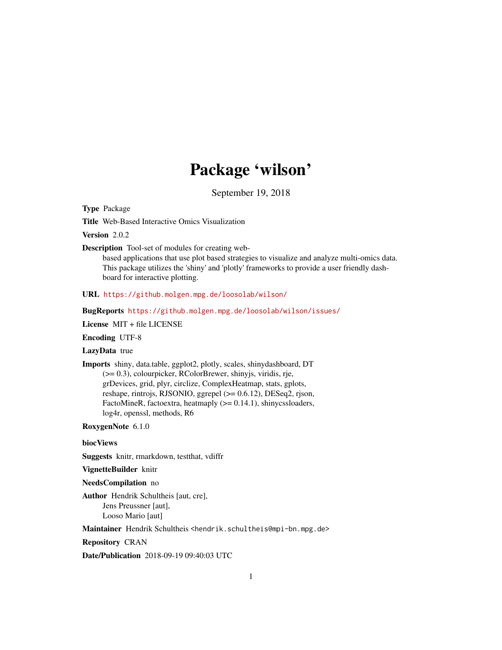# Package 'wilson'

September 19, 2018

<span id="page-0-0"></span>Type Package

Title Web-Based Interactive Omics Visualization

Version 2.0.2

Description Tool-set of modules for creating web-

based applications that use plot based strategies to visualize and analyze multi-omics data. This package utilizes the 'shiny' and 'plotly' frameworks to provide a user friendly dashboard for interactive plotting.

URL <https://github.molgen.mpg.de/loosolab/wilson/>

BugReports <https://github.molgen.mpg.de/loosolab/wilson/issues/>

License MIT + file LICENSE

Encoding UTF-8

LazyData true

Imports shiny, data.table, ggplot2, plotly, scales, shinydashboard, DT (>= 0.3), colourpicker, RColorBrewer, shinyjs, viridis, rje, grDevices, grid, plyr, circlize, ComplexHeatmap, stats, gplots, reshape, rintrojs, RJSONIO, ggrepel (>= 0.6.12), DESeq2, rjson, FactoMineR, factoextra, heatmaply (>= 0.14.1), shinycssloaders, log4r, openssl, methods, R6

RoxygenNote 6.1.0

biocViews

Suggests knitr, rmarkdown, testthat, vdiffr

VignetteBuilder knitr

NeedsCompilation no

Author Hendrik Schultheis [aut, cre], Jens Preussner [aut], Looso Mario [aut]

Maintainer Hendrik Schultheis <hendrik.schultheis@mpi-bn.mpg.de>

Repository CRAN

Date/Publication 2018-09-19 09:40:03 UTC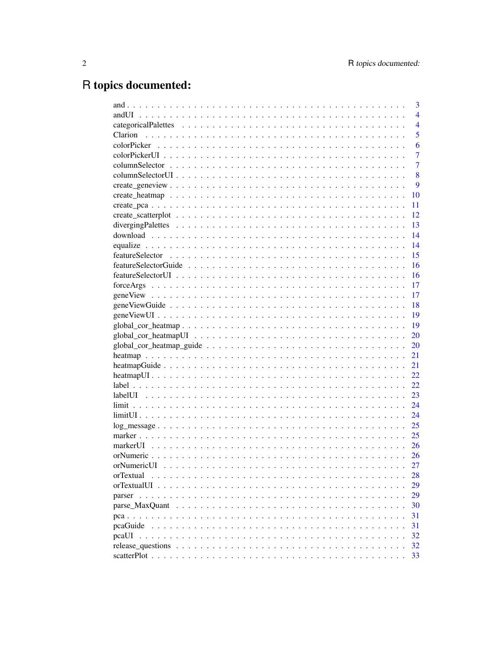# R topics documented:

|                   | 3              |
|-------------------|----------------|
| andUI             | $\overline{4}$ |
|                   | $\overline{4}$ |
| Clarion           | 5              |
| colorPicker       | 6              |
|                   | 7              |
|                   | 7              |
|                   | 8              |
|                   | 9              |
|                   | 10             |
|                   | 11             |
|                   | 12             |
|                   | 13             |
|                   | 14             |
|                   | 14             |
| featureSelector   | 15             |
|                   | 16             |
|                   | 16             |
|                   | 17             |
|                   | 17             |
|                   | 18             |
|                   | 19             |
|                   | 19             |
|                   | 20             |
|                   | 20             |
|                   | 21             |
|                   | 21             |
|                   | 22             |
|                   | 22             |
|                   | 23             |
|                   | 24             |
|                   | 24             |
|                   | 25             |
|                   | 25             |
| markerUI          | 26             |
|                   | 26             |
|                   | 27             |
| orTextual         | 28             |
| orTextualUI       | 29             |
|                   | 29             |
|                   | 30             |
|                   | 31             |
| pcaGuide          | 31             |
| pcaUI             | 32             |
| release questions | 32             |
|                   | 33             |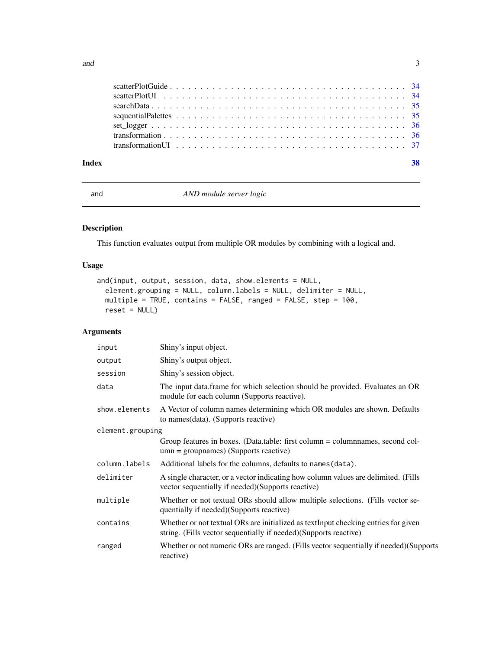<span id="page-2-0"></span>

| Index | 38 |
|-------|----|
|       |    |
|       |    |
|       |    |
|       |    |
|       |    |
|       |    |
|       |    |

and *AND module server logic*

# Description

This function evaluates output from multiple OR modules by combining with a logical and.

# Usage

```
and(input, output, session, data, show.elements = NULL,
 element.grouping = NULL, column.labels = NULL, delimiter = NULL,
 multiple = TRUE, contains = FALSE, ranged = FALSE, step = 100,
 reset = NULL)
```
# Arguments

| input            | Shiny's input object.                                                                                                                                    |  |
|------------------|----------------------------------------------------------------------------------------------------------------------------------------------------------|--|
| output           | Shiny's output object.                                                                                                                                   |  |
| session          | Shiny's session object.                                                                                                                                  |  |
| data             | The input data.frame for which selection should be provided. Evaluates an OR<br>module for each column (Supports reactive).                              |  |
| show.elements    | A Vector of column names determining which OR modules are shown. Defaults<br>to names (data). (Supports reactive)                                        |  |
| element.grouping |                                                                                                                                                          |  |
|                  | Group features in boxes. (Data.table: first column = columnames, second col-<br>$umn = groupnames)$ (Supports reactive)                                  |  |
| column.labels    | Additional labels for the columns, defaults to names (data).                                                                                             |  |
| delimiter        | A single character, or a vector indicating how column values are delimited. (Fills<br>vector sequentially if needed) (Supports reactive)                 |  |
| multiple         | Whether or not textual ORs should allow multiple selections. (Fills vector se-<br>quentially if needed)(Supports reactive)                               |  |
| contains         | Whether or not textual ORs are initialized as text Input checking entries for given<br>string. (Fills vector sequentially if needed) (Supports reactive) |  |
| ranged           | Whether or not numeric ORs are ranged. (Fills vector sequentially if needed) (Supports<br>reactive)                                                      |  |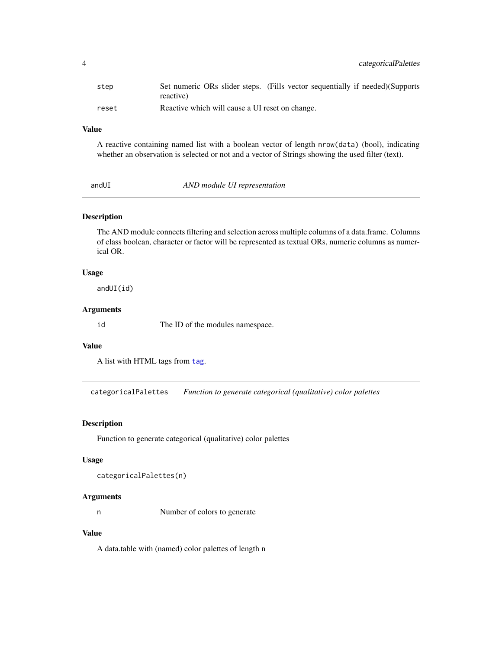<span id="page-3-0"></span>reset Reactive which will cause a UI reset on change.

# Value

A reactive containing named list with a boolean vector of length nrow(data) (bool), indicating whether an observation is selected or not and a vector of Strings showing the used filter (text).

andUI *AND module UI representation*

# **Description**

The AND module connects filtering and selection across multiple columns of a data.frame. Columns of class boolean, character or factor will be represented as textual ORs, numeric columns as numerical OR.

#### Usage

andUI(id)

#### Arguments

id The ID of the modules namespace.

#### Value

A list with HTML tags from [tag](#page-0-0).

categoricalPalettes *Function to generate categorical (qualitative) color palettes*

#### Description

Function to generate categorical (qualitative) color palettes

#### Usage

```
categoricalPalettes(n)
```
#### Arguments

n Number of colors to generate

# Value

A data.table with (named) color palettes of length n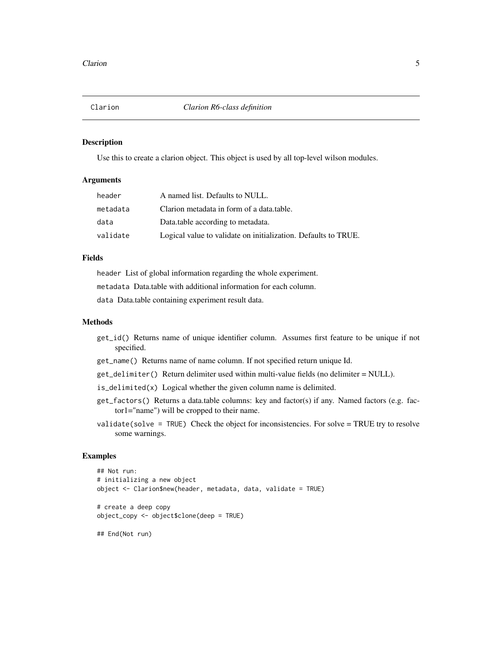<span id="page-4-1"></span><span id="page-4-0"></span>

Use this to create a clarion object. This object is used by all top-level wilson modules.

# Arguments

| header   | A named list. Defaults to NULL.                                |
|----------|----------------------------------------------------------------|
| metadata | Clarion metadata in form of a data.table.                      |
| data     | Data.table according to metadata.                              |
| validate | Logical value to validate on initialization. Defaults to TRUE. |

#### Fields

header List of global information regarding the whole experiment.

metadata Data.table with additional information for each column.

data Data.table containing experiment result data.

#### Methods

- get\_id() Returns name of unique identifier column. Assumes first feature to be unique if not specified.
- get\_name() Returns name of name column. If not specified return unique Id.
- get\_delimiter() Return delimiter used within multi-value fields (no delimiter = NULL).
- is\_delimited(x) Logical whether the given column name is delimited.
- get\_factors() Returns a data.table columns: key and factor(s) if any. Named factors (e.g. factor1="name") will be cropped to their name.
- validate(solve = TRUE) Check the object for inconsistencies. For solve = TRUE try to resolve some warnings.

# Examples

```
## Not run:
# initializing a new object
object <- Clarion$new(header, metadata, data, validate = TRUE)
# create a deep copy
object_copy <- object$clone(deep = TRUE)
## End(Not run)
```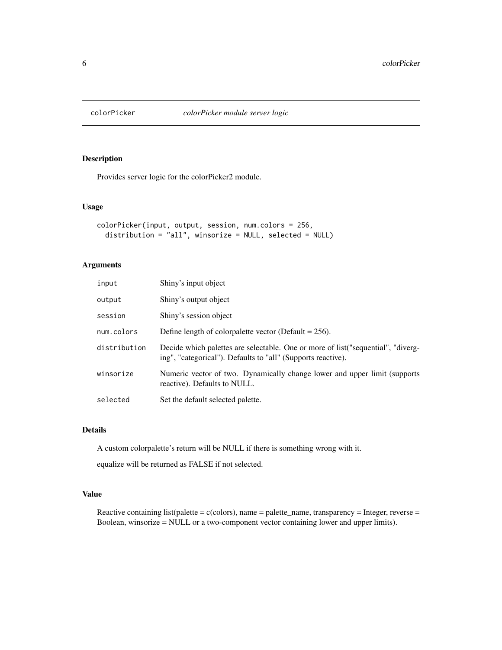<span id="page-5-0"></span>

Provides server logic for the colorPicker2 module.

# Usage

```
colorPicker(input, output, session, num.colors = 256,
  distribution = "all", winsorize = NULL, selected = NULL)
```
# Arguments

| input        | Shiny's input object                                                                                                                              |
|--------------|---------------------------------------------------------------------------------------------------------------------------------------------------|
| output       | Shiny's output object                                                                                                                             |
| session      | Shiny's session object                                                                                                                            |
| num.colors   | Define length of colorpalette vector (Default = $256$ ).                                                                                          |
| distribution | Decide which palettes are selectable. One or more of list ("sequential", "diverg-<br>ing", "categorical"). Defaults to "all" (Supports reactive). |
| winsorize    | Numeric vector of two. Dynamically change lower and upper limit (supports<br>reactive). Defaults to NULL.                                         |
| selected     | Set the default selected palette.                                                                                                                 |

# Details

A custom colorpalette's return will be NULL if there is something wrong with it.

equalize will be returned as FALSE if not selected.

# Value

Reactive containing list(palette =  $c$ (colors), name = palette\_name, transparency = Integer, reverse = Boolean, winsorize = NULL or a two-component vector containing lower and upper limits).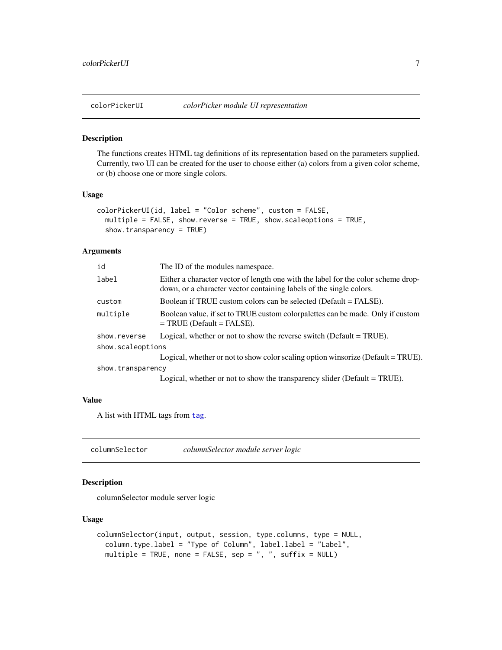<span id="page-6-0"></span>

The functions creates HTML tag definitions of its representation based on the parameters supplied. Currently, two UI can be created for the user to choose either (a) colors from a given color scheme, or (b) choose one or more single colors.

#### Usage

```
colorPickerUI(id, label = "Color scheme", custom = FALSE,
 multiple = FALSE, show.reverse = TRUE, show.scaleoptions = TRUE,
  show.transparency = TRUE)
```
#### Arguments

| id                | The ID of the modules namespace.                                                                                                                         |
|-------------------|----------------------------------------------------------------------------------------------------------------------------------------------------------|
| label             | Either a character vector of length one with the label for the color scheme drop-<br>down, or a character vector containing labels of the single colors. |
| custom            | Boolean if TRUE custom colors can be selected (Default = FALSE).                                                                                         |
| multiple          | Boolean value, if set to TRUE custom colorpalettes can be made. Only if custom<br>$=$ TRUE (Default $=$ FALSE).                                          |
| show.reverse      | Logical, whether or not to show the reverse switch ( $Default = TRUE$ ).                                                                                 |
| show.scaleoptions |                                                                                                                                                          |
|                   | Logical, whether or not to show color scaling option winsorize (Default = TRUE).                                                                         |
| show.transparency |                                                                                                                                                          |
|                   | Logical, whether or not to show the transparency slider (Default = TRUE).                                                                                |

#### Value

A list with HTML tags from [tag](#page-0-0).

columnSelector *columnSelector module server logic*

# Description

columnSelector module server logic

#### Usage

```
columnSelector(input, output, session, type.columns, type = NULL,
  column.type.label = "Type of Column", label.label = "Label",
 multiple = TRUE, none = FALSE, sep = ", ", suffix = NULL)
```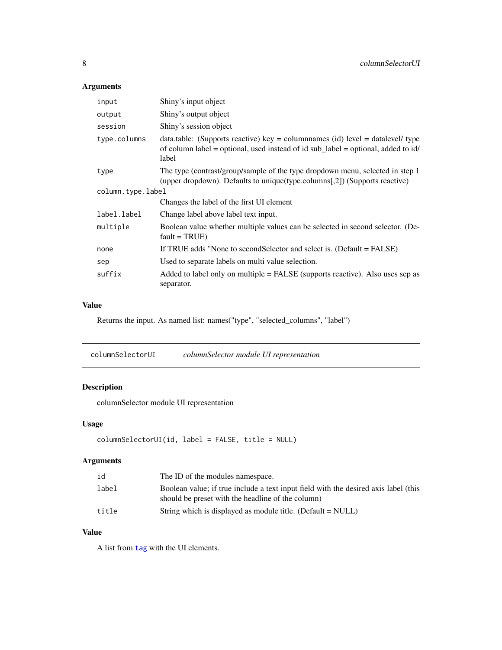# <span id="page-7-0"></span>Arguments

| input             | Shiny's input object                                                                                                                                                         |  |
|-------------------|------------------------------------------------------------------------------------------------------------------------------------------------------------------------------|--|
| output            | Shiny's output object                                                                                                                                                        |  |
| session           | Shiny's session object                                                                                                                                                       |  |
| type.columns      | data.table: (Supports reactive) key = column ames (id) level = datalevel/ type<br>of column label = optional, used instead of id sub_label = optional, added to id/<br>label |  |
| type              | The type (contrast/group/sample of the type dropdown menu, selected in step 1<br>(upper dropdown). Defaults to unique (type.columns $[2]$ ) (Supports reactive)              |  |
| column.type.label |                                                                                                                                                                              |  |
|                   | Changes the label of the first UI element                                                                                                                                    |  |
| label.label       | Change label above label text input.                                                                                                                                         |  |
| multiple          | Boolean value whether multiple values can be selected in second selector. (De-<br>$fault = TRUE)$                                                                            |  |
| none              | If TRUE adds "None to secondSelector and select is. (Default = FALSE)                                                                                                        |  |
| sep               | Used to separate labels on multi value selection.                                                                                                                            |  |
| suffix            | Added to label only on multiple $=$ FALSE (supports reactive). Also uses sep as<br>separator.                                                                                |  |

# Value

Returns the input. As named list: names("type", "selected\_columns", "label")

| columnSelectorUI | columnSelector module UI representation |
|------------------|-----------------------------------------|
|                  |                                         |

# Description

columnSelector module UI representation

# Usage

```
columnSelectorUI(id, label = FALSE, title = NULL)
```
# Arguments

| id    | The ID of the modules namespace.                                                                                                         |
|-------|------------------------------------------------------------------------------------------------------------------------------------------|
| label | Boolean value; if true include a text input field with the desired axis label (this<br>should be preset with the headline of the column) |
| title | String which is displayed as module title. (Default = NULL)                                                                              |

# Value

A list from [tag](#page-0-0) with the UI elements.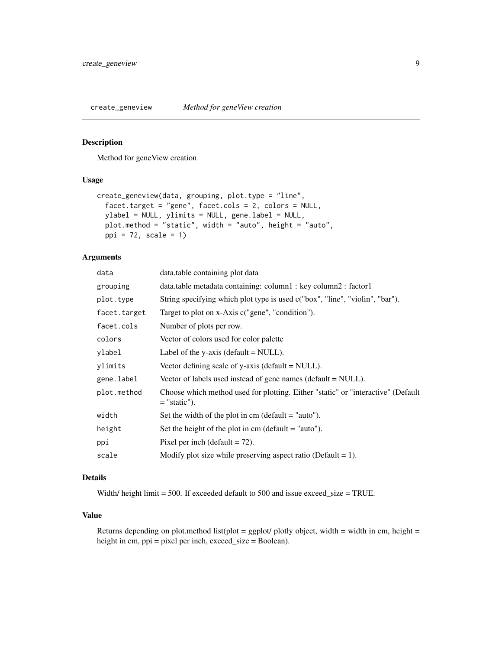<span id="page-8-0"></span>

Method for geneView creation

# Usage

```
create_geneview(data, grouping, plot.type = "line",
  facet.target = "gene", facet.cols = 2, colors = NULL,
  ylabel = NULL, ylimits = NULL, gene.label = NULL,
 plot.method = "static", width = "auto", height = "auto",
 ppi = 72, scale = 1)
```
# Arguments

| data         | data.table containing plot data                                                                    |
|--------------|----------------------------------------------------------------------------------------------------|
| grouping     | data.table metadata containing: column1 : key column2 : factor1                                    |
| plot.type    | String specifying which plot type is used c("box", "line", "violin", "bar").                       |
| facet.target | Target to plot on x-Axis c("gene", "condition").                                                   |
| facet.cols   | Number of plots per row.                                                                           |
| colors       | Vector of colors used for color palette                                                            |
| ylabel       | Label of the y-axis (default $=$ NULL).                                                            |
| ylimits      | Vector defining scale of y-axis (default $=$ NULL).                                                |
| gene.label   | Vector of labels used instead of gene names (default = NULL).                                      |
| plot.method  | Choose which method used for plotting. Either "static" or "interactive" (Default<br>$=$ "static"). |
| width        | Set the width of the plot in cm (default $=$ "auto").                                              |
| height       | Set the height of the plot in cm (default $=$ "auto").                                             |
| ppi          | Pixel per inch (default $= 72$ ).                                                                  |
| scale        | Modify plot size while preserving aspect ratio (Default $= 1$ ).                                   |
|              |                                                                                                    |

# Details

Width/ height limit = 500. If exceeded default to 500 and issue exceed\_size = TRUE.

#### Value

Returns depending on plot.method list(plot = ggplot/ plotly object, width = width in cm, height = height in cm, ppi = pixel per inch, exceed\_size = Boolean).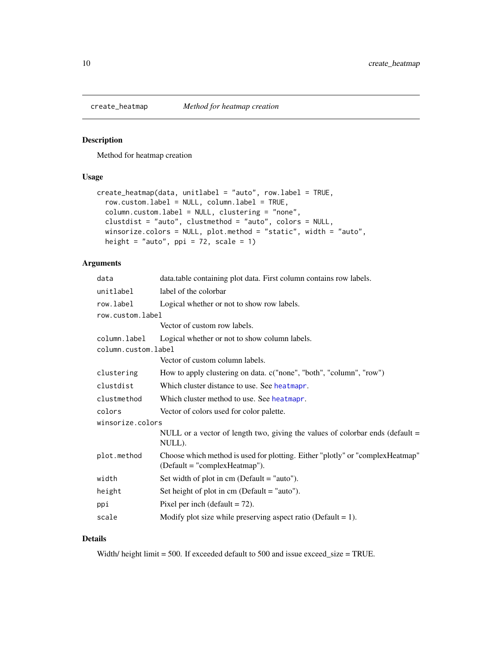<span id="page-9-0"></span>

Method for heatmap creation

# Usage

```
create_heatmap(data, unitlabel = "auto", row.label = TRUE,
  row.custom.label = NULL, column.label = TRUE,
  column.custom.label = NULL, clustering = "none",
  clustdist = "auto", clustmethod = "auto", colors = NULL,
 winsorize.colors = NULL, plot.method = "static", width = "auto",
 height = "auto", ppi = 72, scale = 1)
```
# Arguments

| data.table containing plot data. First column contains row labels.                                                |
|-------------------------------------------------------------------------------------------------------------------|
| label of the colorbar                                                                                             |
| Logical whether or not to show row labels.                                                                        |
| row.custom.label                                                                                                  |
| Vector of custom row labels.                                                                                      |
| Logical whether or not to show column labels.                                                                     |
| column.custom.label                                                                                               |
| Vector of custom column labels.                                                                                   |
| How to apply clustering on data. c("none", "both", "column", "row")                                               |
| Which cluster distance to use. See heatmapr.                                                                      |
| Which cluster method to use. See heatmapr.                                                                        |
| Vector of colors used for color palette.                                                                          |
| winsorize.colors                                                                                                  |
| NULL or a vector of length two, giving the values of colorbar ends (default =<br>NULL).                           |
| Choose which method is used for plotting. Either "plotly" or "complex Heatmap"<br>$(Default = "complexHeatmap").$ |
| Set width of plot in $cm$ (Default = "auto").                                                                     |
| Set height of plot in $cm$ (Default = "auto").                                                                    |
| Pixel per inch (default $= 72$ ).                                                                                 |
| Modify plot size while preserving aspect ratio (Default = 1).                                                     |
|                                                                                                                   |

# Details

Width/ height limit = 500. If exceeded default to 500 and issue exceed\_size = TRUE.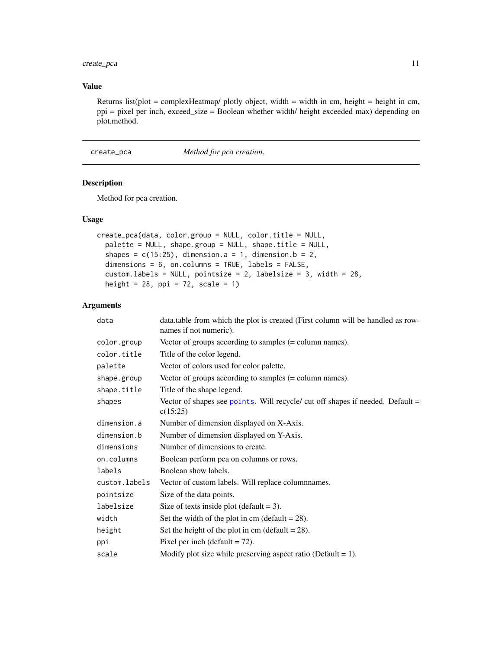# <span id="page-10-0"></span>create\_pca 11

### Value

Returns list(plot = complexHeatmap/ plotly object, width = width in cm, height = height in cm, ppi = pixel per inch, exceed\_size = Boolean whether width/ height exceeded max) depending on plot.method.

create\_pca *Method for pca creation.*

# Description

Method for pca creation.

#### Usage

```
create_pca(data, color.group = NULL, color.title = NULL,
 palette = NULL, shape.group = NULL, shape.title = NULL,
  shapes = c(15:25), dimension.a = 1, dimension.b = 2,
  dimensions = 6, on.columns = TRUE, labels = FALSE,
  custom.labels = NULL, pointsize = 2, labelsize = 3, width = 28,
  height = 28, ppi = 72, scale = 1)
```
#### Arguments

| data          | data.table from which the plot is created (First column will be handled as row-<br>names if not numeric). |
|---------------|-----------------------------------------------------------------------------------------------------------|
| color.group   | Vector of groups according to samples $(=$ column names).                                                 |
| color.title   | Title of the color legend.                                                                                |
| palette       | Vector of colors used for color palette.                                                                  |
| shape.group   | Vector of groups according to samples (= column names).                                                   |
| shape.title   | Title of the shape legend.                                                                                |
| shapes        | Vector of shapes see points. Will recycle/ cut off shapes if needed. Default =<br>c(15:25)                |
| dimension.a   | Number of dimension displayed on X-Axis.                                                                  |
| dimension.b   | Number of dimension displayed on Y-Axis.                                                                  |
| dimensions    | Number of dimensions to create.                                                                           |
| on.columns    | Boolean perform pca on columns or rows.                                                                   |
| labels        | Boolean show labels.                                                                                      |
| custom.labels | Vector of custom labels. Will replace columnnames.                                                        |
| pointsize     | Size of the data points.                                                                                  |
| labelsize     | Size of texts inside plot (default $= 3$ ).                                                               |
| width         | Set the width of the plot in cm (default $= 28$ ).                                                        |
| height        | Set the height of the plot in cm (default = $28$ ).                                                       |
| ppi           | Pixel per inch (default $= 72$ ).                                                                         |
| scale         | Modify plot size while preserving aspect ratio (Default = 1).                                             |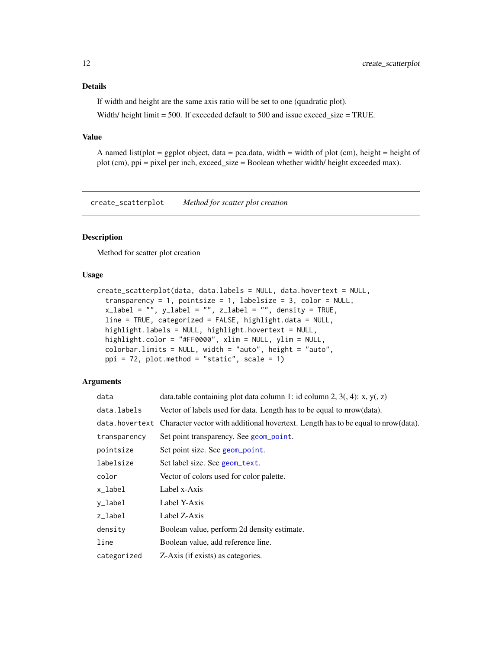#### <span id="page-11-0"></span>Details

If width and height are the same axis ratio will be set to one (quadratic plot).

Width/ height limit = 500. If exceeded default to 500 and issue exceed\_size = TRUE.

# Value

A named list(plot = ggplot object, data = pca.data, width = width of plot (cm), height = height of plot (cm), ppi = pixel per inch, exceed\_size = Boolean whether width/ height exceeded max).

create\_scatterplot *Method for scatter plot creation*

#### Description

Method for scatter plot creation

#### Usage

```
create_scatterplot(data, data.labels = NULL, data.hovertext = NULL,
  transparency = 1, pointsize = 1, labelsize = 3, color = NULL,
  x_label = "", y_label = "", z_label = "", density = TRUE,
  line = TRUE, categorized = FALSE, highlight.data = NULL,
  highlight.labels = NULL, highlight.hovertext = NULL,
  highlight.color = "#FF0000", xlim = NULL, ylim = NULL,
  colorbar.limits = NULL, width = "auto", height = "auto",
  ppi = 72, plot . method = "static", scale = 1)
```
#### Arguments

| data         | data.table containing plot data column 1: id column 2, $3($ , 4): x, y(, z)                        |
|--------------|----------------------------------------------------------------------------------------------------|
| data.labels  | Vector of labels used for data. Length has to be equal to nrow (data).                             |
|              | data. hover text Character vector with additional hovertext. Length has to be equal to nrow(data). |
| transparency | Set point transparency. See geom_point.                                                            |
| pointsize    | Set point size. See geom_point.                                                                    |
| labelsize    | Set label size. See geom_text.                                                                     |
| color        | Vector of colors used for color palette.                                                           |
| x_label      | Label x-Axis                                                                                       |
| y_label      | Label Y-Axis                                                                                       |
| z_label      | Label Z-Axis                                                                                       |
| density      | Boolean value, perform 2d density estimate.                                                        |
| line         | Boolean value, add reference line.                                                                 |
| categorized  | Z-Axis (if exists) as categories.                                                                  |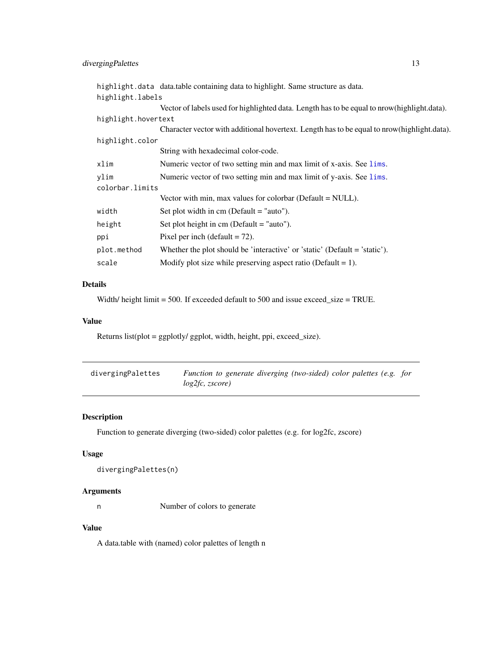# <span id="page-12-0"></span>divergingPalettes 13

|                     | highlight. data data. table containing data to highlight. Same structure as data.            |  |
|---------------------|----------------------------------------------------------------------------------------------|--|
| highlight.labels    |                                                                                              |  |
|                     | Vector of labels used for highlighted data. Length has to be equal to nrow (highlight.data). |  |
| highlight.hovertext |                                                                                              |  |
|                     | Character vector with additional hovertext. Length has to be equal to nrow (highlight.data). |  |
| highlight.color     |                                                                                              |  |
|                     | String with hexadecimal color-code.                                                          |  |
| xlim                | Numeric vector of two setting min and max limit of x-axis. See lims.                         |  |
| ylim                | Numeric vector of two setting min and max limit of y-axis. See lims.                         |  |
| colorbar.limits     |                                                                                              |  |
|                     | Vector with min, max values for colorbar (Default = NULL).                                   |  |
| width               | Set plot width in $cm$ (Default = "auto").                                                   |  |
| height              | Set plot height in cm (Default $=$ "auto").                                                  |  |
| ppi                 | Pixel per inch (default $= 72$ ).                                                            |  |
| plot.method         | Whether the plot should be 'interactive' or 'static' (Default = 'static').                   |  |
| scale               | Modify plot size while preserving aspect ratio (Default = 1).                                |  |

# Details

Width/ height limit = 500. If exceeded default to 500 and issue exceed\_size = TRUE.

# Value

Returns list(plot = ggplotly/ ggplot, width, height, ppi, exceed\_size).

| divergingPalettes | Function to generate diverging (two-sided) color palettes (e.g. for |  |
|-------------------|---------------------------------------------------------------------|--|
|                   | log2fc, zscore)                                                     |  |

# Description

Function to generate diverging (two-sided) color palettes (e.g. for log2fc, zscore)

# Usage

```
divergingPalettes(n)
```
#### Arguments

n Number of colors to generate

# Value

A data.table with (named) color palettes of length n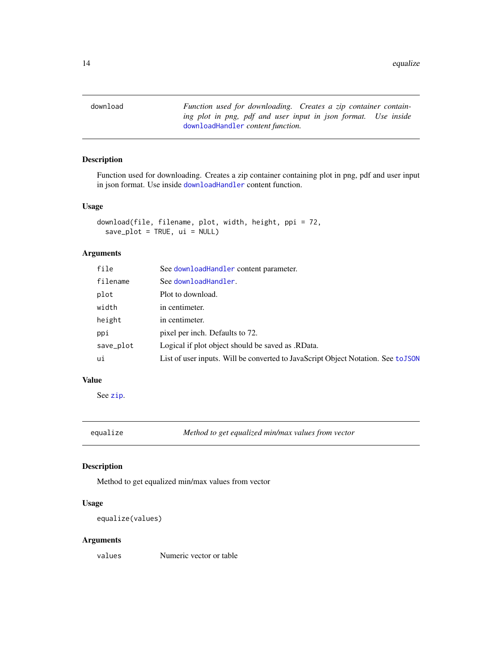<span id="page-13-0"></span>download *Function used for downloading. Creates a zip container containing plot in png, pdf and user input in json format. Use inside* [downloadHandler](#page-0-0) *content function.*

#### Description

Function used for downloading. Creates a zip container containing plot in png, pdf and user input in json format. Use inside [downloadHandler](#page-0-0) content function.

#### Usage

```
download(file, filename, plot, width, height, ppi = 72,
 save\_plot = TRUE, ui = NULL)
```
# Arguments

| file      | See downloadHandler content parameter.                                            |
|-----------|-----------------------------------------------------------------------------------|
| filename  | See downloadHandler.                                                              |
| plot      | Plot to download.                                                                 |
| width     | in centimeter.                                                                    |
| height    | in centimeter.                                                                    |
| ppi       | pixel per inch. Defaults to 72.                                                   |
| save_plot | Logical if plot object should be saved as .RData.                                 |
| ui        | List of user inputs. Will be converted to JavaScript Object Notation. See to JSON |
|           |                                                                                   |

# Value

See [zip](#page-0-0).

equalize *Method to get equalized min/max values from vector*

# Description

Method to get equalized min/max values from vector

#### Usage

equalize(values)

#### Arguments

values Numeric vector or table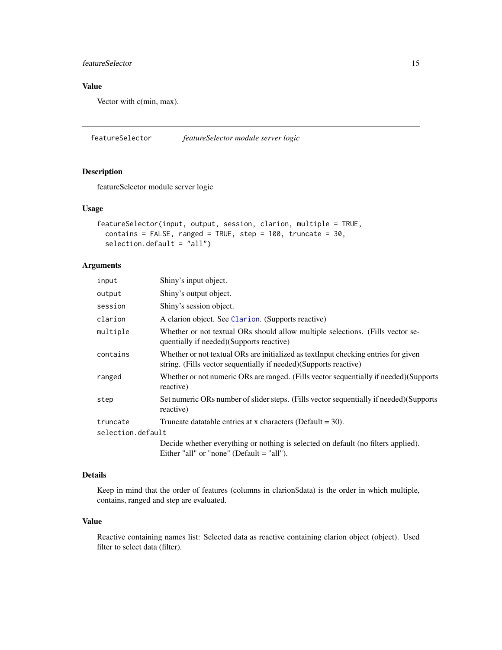# <span id="page-14-0"></span>featureSelector 15

# Value

Vector with c(min, max).

featureSelector *featureSelector module server logic*

# Description

featureSelector module server logic

#### Usage

```
featureSelector(input, output, session, clarion, multiple = TRUE,
  contains = FALSE, ranged = TRUE, step = 100, truncate = 30,
  selection.default = "all")
```
# Arguments

| Shiny's input object.                                                                                                                                   |  |  |
|---------------------------------------------------------------------------------------------------------------------------------------------------------|--|--|
| Shiny's output object.                                                                                                                                  |  |  |
| Shiny's session object.                                                                                                                                 |  |  |
| A clarion object. See Clarion. (Supports reactive)                                                                                                      |  |  |
| Whether or not textual ORs should allow multiple selections. (Fills vector se-<br>quentially if needed)(Supports reactive)                              |  |  |
| Whether or not textual ORs are initialized as textInput checking entries for given<br>string. (Fills vector sequentially if needed) (Supports reactive) |  |  |
| Whether or not numeric ORs are ranged. (Fills vector sequentially if needed) (Supports<br>reactive)                                                     |  |  |
| Set numeric ORs number of slider steps. (Fills vector sequentially if needed) (Supports<br>reactive)                                                    |  |  |
| Truncate data table entries at x characters (Default = $30$ ).                                                                                          |  |  |
| selection.default                                                                                                                                       |  |  |
| Decide whether everything or nothing is selected on default (no filters applied).<br>Either "all" or "none" (Default $=$ "all").                        |  |  |
|                                                                                                                                                         |  |  |

# Details

Keep in mind that the order of features (columns in clarion\$data) is the order in which multiple, contains, ranged and step are evaluated.

#### Value

Reactive containing names list: Selected data as reactive containing clarion object (object). Used filter to select data (filter).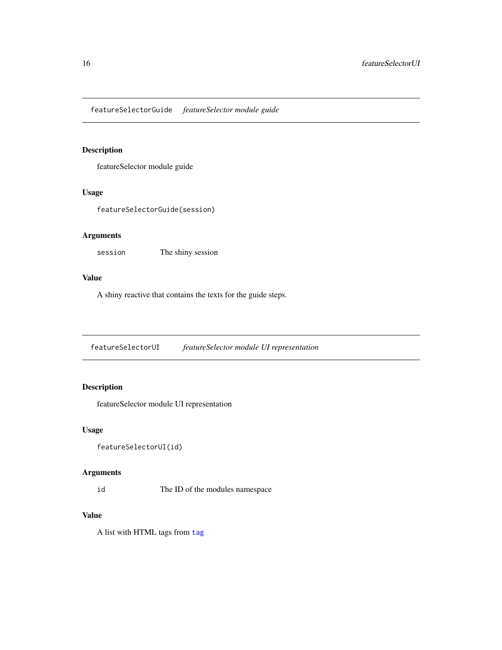<span id="page-15-0"></span>featureSelectorGuide *featureSelector module guide*

# Description

featureSelector module guide

#### Usage

featureSelectorGuide(session)

# Arguments

session The shiny session

# Value

A shiny reactive that contains the texts for the guide steps.

featureSelectorUI *featureSelector module UI representation*

# Description

featureSelector module UI representation

# Usage

featureSelectorUI(id)

# Arguments

id The ID of the modules namespace

#### Value

A list with HTML tags from [tag](#page-0-0)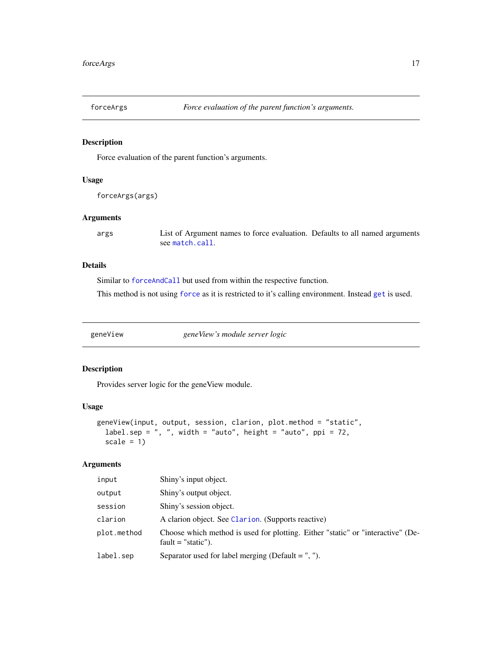<span id="page-16-0"></span>

Force evaluation of the parent function's arguments.

# Usage

```
forceArgs(args)
```
#### Arguments

args List of Argument names to force evaluation. Defaults to all named arguments see [match.call](#page-0-0).

# Details

Similar to [forceAndCall](#page-0-0) but used from within the respective function.

This method is not using [force](#page-0-0) as it is restricted to it's calling environment. Instead [get](#page-0-0) is used.

geneView *geneView's module server logic*

# Description

Provides server logic for the geneView module.

#### Usage

```
geneView(input, output, session, clarion, plot.method = "static",
  label.sep = ", ", width = "auto", height = "auto", ppi = 72,
  scale = 1)
```
#### Arguments

| input       | Shiny's input object.                                                                                   |
|-------------|---------------------------------------------------------------------------------------------------------|
| output      | Shiny's output object.                                                                                  |
| session     | Shiny's session object.                                                                                 |
| clarion     | A clarion object. See Clarion. (Supports reactive)                                                      |
| plot.method | Choose which method is used for plotting. Either "static" or "interactive" (De-<br>$fault = "static").$ |
| label.sep   | Separator used for label merging (Default $=$ ", ").                                                    |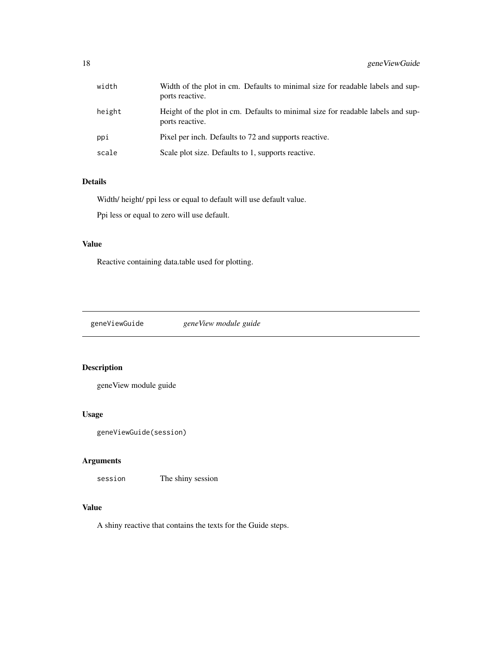<span id="page-17-0"></span>

| width  | Width of the plot in cm. Defaults to minimal size for readable labels and sup-<br>ports reactive.  |
|--------|----------------------------------------------------------------------------------------------------|
| height | Height of the plot in cm. Defaults to minimal size for readable labels and sup-<br>ports reactive. |
| ppi    | Pixel per inch. Defaults to 72 and supports reactive.                                              |
| scale  | Scale plot size. Defaults to 1, supports reactive.                                                 |

# Details

Width/ height/ ppi less or equal to default will use default value.

Ppi less or equal to zero will use default.

# Value

Reactive containing data.table used for plotting.

geneViewGuide *geneView module guide*

# Description

geneView module guide

# Usage

```
geneViewGuide(session)
```
# Arguments

session The shiny session

# Value

A shiny reactive that contains the texts for the Guide steps.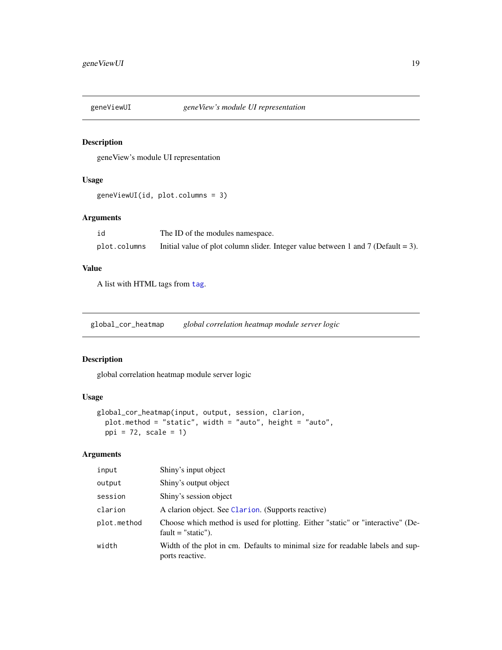<span id="page-18-0"></span>

geneView's module UI representation

# Usage

```
geneViewUI(id, plot.columns = 3)
```
# Arguments

| id           | The ID of the modules namespace.                                                  |
|--------------|-----------------------------------------------------------------------------------|
| plot.columns | Initial value of plot column slider. Integer value between 1 and 7 (Default = 3). |

# Value

A list with HTML tags from [tag](#page-0-0).

global\_cor\_heatmap *global correlation heatmap module server logic*

# Description

global correlation heatmap module server logic

# Usage

```
global_cor_heatmap(input, output, session, clarion,
 plot.method = "static", width = "auto", height = "auto",
 ppi = 72, scale = 1)
```
# Arguments

| input       | Shiny's input object                                                                                    |
|-------------|---------------------------------------------------------------------------------------------------------|
| output      | Shiny's output object                                                                                   |
| session     | Shiny's session object                                                                                  |
| clarion     | A clarion object. See Clarion. (Supports reactive)                                                      |
| plot.method | Choose which method is used for plotting. Either "static" or "interactive" (De-<br>$fault = "static").$ |
| width       | Width of the plot in cm. Defaults to minimal size for readable labels and sup-<br>ports reactive.       |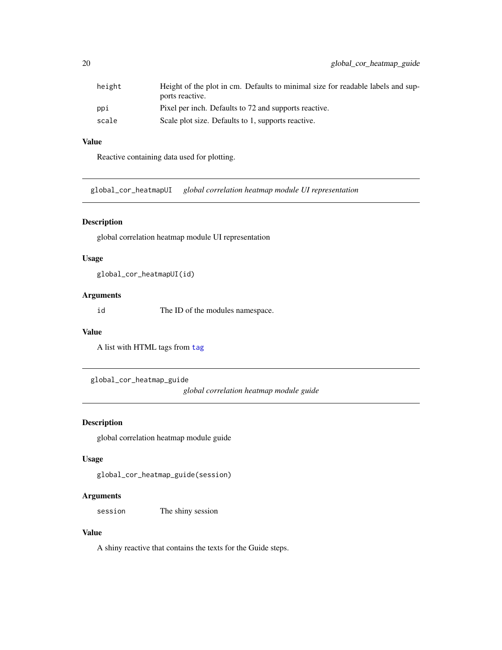<span id="page-19-0"></span>

| height | Height of the plot in cm. Defaults to minimal size for readable labels and sup- |
|--------|---------------------------------------------------------------------------------|
|        | ports reactive.                                                                 |
| ppi    | Pixel per inch. Defaults to 72 and supports reactive.                           |
| scale  | Scale plot size. Defaults to 1, supports reactive.                              |

# Value

Reactive containing data used for plotting.

global\_cor\_heatmapUI *global correlation heatmap module UI representation*

# Description

global correlation heatmap module UI representation

# Usage

global\_cor\_heatmapUI(id)

#### Arguments

id The ID of the modules namespace.

#### Value

A list with HTML tags from [tag](#page-0-0)

global\_cor\_heatmap\_guide

*global correlation heatmap module guide*

# Description

global correlation heatmap module guide

#### Usage

global\_cor\_heatmap\_guide(session)

# Arguments

session The shiny session

# Value

A shiny reactive that contains the texts for the Guide steps.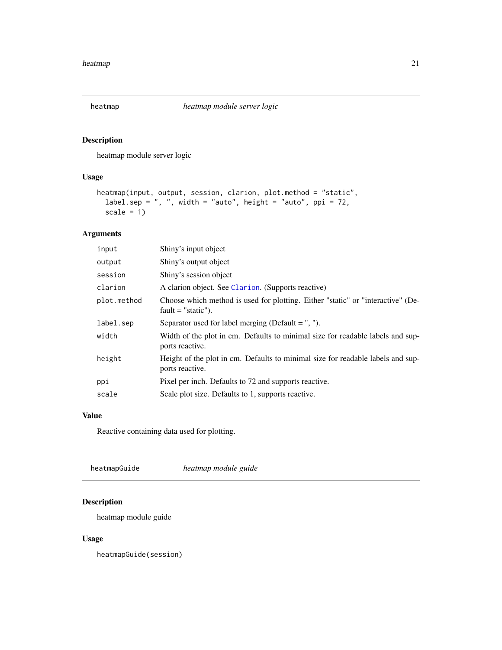<span id="page-20-0"></span>

heatmap module server logic

# Usage

```
heatmap(input, output, session, clarion, plot.method = "static",
 label.sep = ", ", width = "auto", height = "auto", ppi = 72,
  scale = 1)
```
# Arguments

| input       | Shiny's input object                                                                                    |
|-------------|---------------------------------------------------------------------------------------------------------|
| output      | Shiny's output object                                                                                   |
| session     | Shiny's session object                                                                                  |
| clarion     | A clarion object. See Clarion. (Supports reactive)                                                      |
| plot.method | Choose which method is used for plotting. Either "static" or "interactive" (De-<br>$fault = "static").$ |
| label.sep   | Separator used for label merging (Default $=$ ", ").                                                    |
| width       | Width of the plot in cm. Defaults to minimal size for readable labels and sup-<br>ports reactive.       |
| height      | Height of the plot in cm. Defaults to minimal size for readable labels and sup-<br>ports reactive.      |
| ppi         | Pixel per inch. Defaults to 72 and supports reactive.                                                   |
| scale       | Scale plot size. Defaults to 1, supports reactive.                                                      |

# Value

Reactive containing data used for plotting.

heatmapGuide *heatmap module guide*

# Description

heatmap module guide

#### Usage

heatmapGuide(session)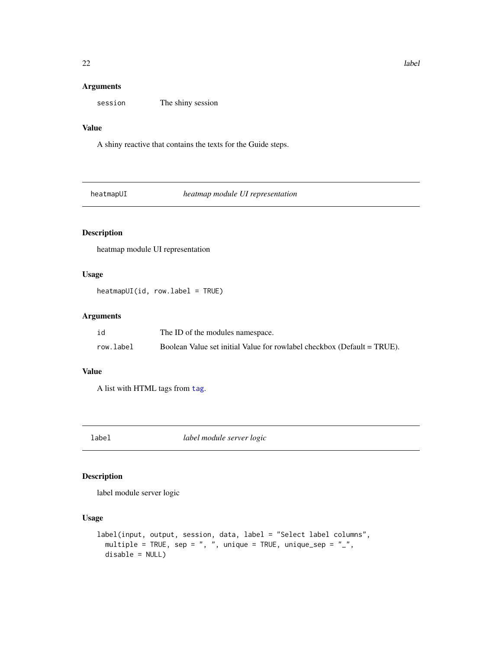# Arguments

session The shiny session

# Value

A shiny reactive that contains the texts for the Guide steps.

heatmapUI *heatmap module UI representation*

# Description

heatmap module UI representation

#### Usage

heatmapUI(id, row.label = TRUE)

# Arguments

| id        | The ID of the modules namespace.                                        |
|-----------|-------------------------------------------------------------------------|
| row.label | Boolean Value set initial Value for rowlabel checkbox (Default = TRUE). |

# Value

A list with HTML tags from [tag](#page-0-0).

label *label module server logic*

# Description

label module server logic

#### Usage

```
label(input, output, session, data, label = "Select label columns",
 multiple = TRUE, sep = ", ", unique = TRUE, unique_sep = "_",
 disable = NULL)
```
<span id="page-21-0"></span> $22$  label and  $22$  label and  $22$  label and  $22$  label and  $22$  label  $22$  label  $22$  label  $22$  label  $22$  label  $22$  label  $22$  label  $22$  label  $22$  label  $22$  label  $22$  label  $22$  label  $22$  label  $22$  label  $22$  la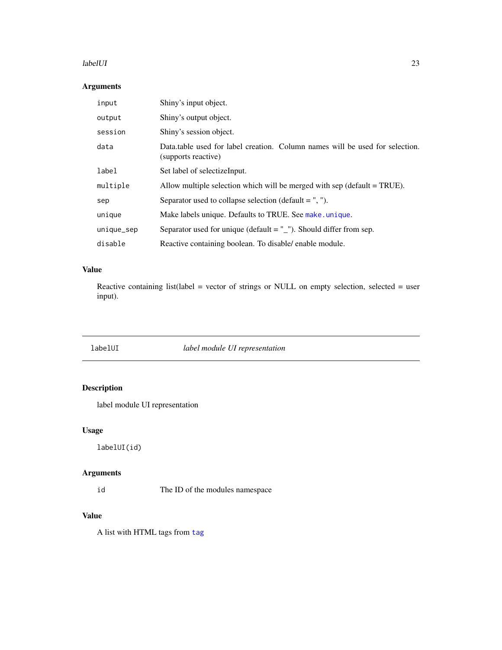#### <span id="page-22-0"></span>labelUI 23

# Arguments

| input      | Shiny's input object.                                                                               |
|------------|-----------------------------------------------------------------------------------------------------|
| output     | Shiny's output object.                                                                              |
| session    | Shiny's session object.                                                                             |
| data       | Data table used for label creation. Column names will be used for selection.<br>(supports reactive) |
| label      | Set label of selectize Input.                                                                       |
| multiple   | Allow multiple selection which will be merged with sep (default $= TRUE$ ).                         |
| sep        | Separator used to collapse selection (default $=$ ", ").                                            |
| unique     | Make labels unique. Defaults to TRUE. See make, unique.                                             |
| unique_sep | Separator used for unique (default $=$ $"$ _"). Should differ from sep.                             |
| disable    | Reactive containing boolean. To disable/ enable module.                                             |

# Value

Reactive containing list(label = vector of strings or NULL on empty selection, selected = user input).

# labelUI *label module UI representation*

# Description

label module UI representation

# Usage

labelUI(id)

# Arguments

id The ID of the modules namespace

# Value

A list with HTML tags from [tag](#page-0-0)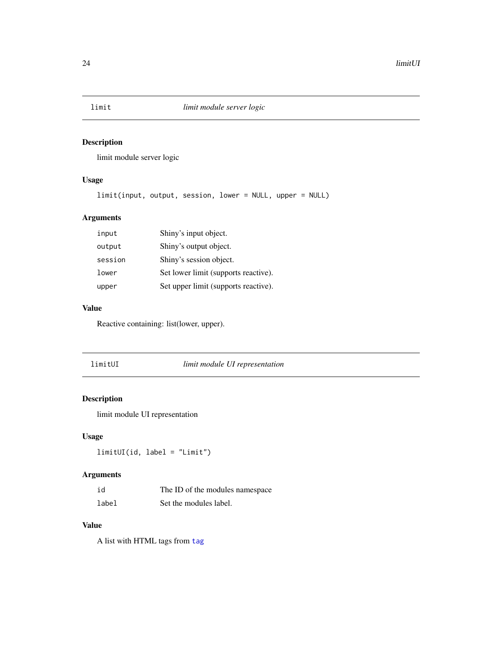<span id="page-23-0"></span>

limit module server logic

# Usage

limit(input, output, session, lower = NULL, upper = NULL)

# Arguments

| input   | Shiny's input object.                |
|---------|--------------------------------------|
| output  | Shiny's output object.               |
| session | Shiny's session object.              |
| lower   | Set lower limit (supports reactive). |
| upper   | Set upper limit (supports reactive). |

# Value

Reactive containing: list(lower, upper).

limitUI *limit module UI representation*

# Description

limit module UI representation

# Usage

limitUI(id, label = "Limit")

# Arguments

| id    | The ID of the modules namespace |
|-------|---------------------------------|
| label | Set the modules label.          |

# Value

A list with HTML tags from [tag](#page-0-0)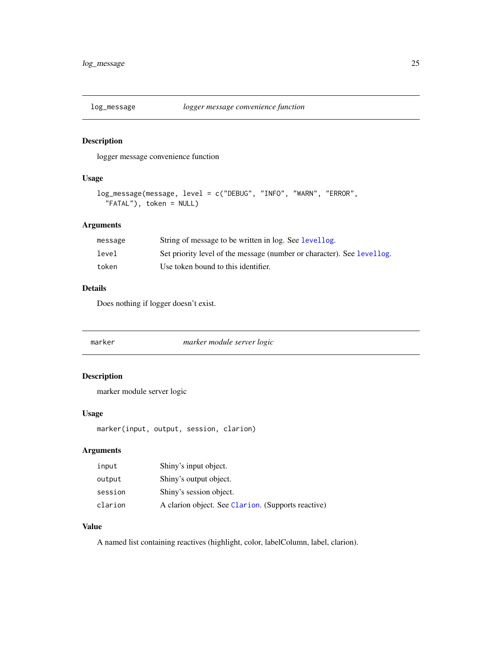<span id="page-24-0"></span>

logger message convenience function

# Usage

```
log_message(message, level = c("DEBUG", "INFO", "WARN", "ERROR",
  "FATAL"), token = NULL)
```
# Arguments

| message | String of message to be written in log. See levellog.                  |
|---------|------------------------------------------------------------------------|
| level   | Set priority level of the message (number or character). See levellog. |
| token   | Use token bound to this identifier.                                    |

# Details

Does nothing if logger doesn't exist.

<span id="page-24-1"></span>marker *marker module server logic*

# Description

marker module server logic

#### Usage

marker(input, output, session, clarion)

# Arguments

| input   | Shiny's input object.                              |
|---------|----------------------------------------------------|
| output  | Shiny's output object.                             |
| session | Shiny's session object.                            |
| clarion | A clarion object. See Clarion. (Supports reactive) |

# Value

A named list containing reactives (highlight, color, labelColumn, label, clarion).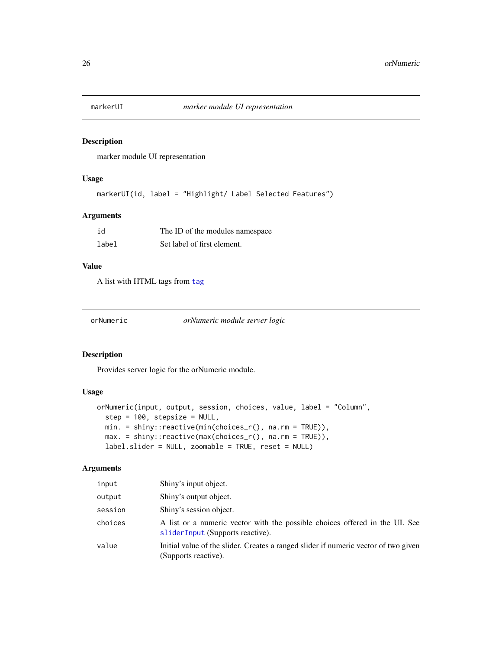<span id="page-25-0"></span>

marker module UI representation

# Usage

```
markerUI(id, label = "Highlight/ Label Selected Features")
```
# Arguments

| id    | The ID of the modules namespace |
|-------|---------------------------------|
| label | Set label of first element.     |

#### Value

A list with HTML tags from [tag](#page-0-0)

| orNumeric | orNumeric module server logic |
|-----------|-------------------------------|
|-----------|-------------------------------|

# Description

Provides server logic for the orNumeric module.

#### Usage

```
orNumeric(input, output, session, choices, value, label = "Column",
  step = 100, stepsize = NULL,
 min. = shiny::reactive(min(choices_r(), na.rm = TRUE)),
 max. = shiny::reactive(max(choices_r(), na.rm = TRUE)),
  label.slider = NULL, zoomable = TRUE, reset = NULL)
```
# Arguments

| input   | Shiny's input object.                                                                                           |
|---------|-----------------------------------------------------------------------------------------------------------------|
| output  | Shiny's output object.                                                                                          |
| session | Shiny's session object.                                                                                         |
| choices | A list or a numeric vector with the possible choices offered in the UI. See<br>sliderInput (Supports reactive). |
| value   | Initial value of the slider. Creates a ranged slider if numeric vector of two given<br>(Supports reactive).     |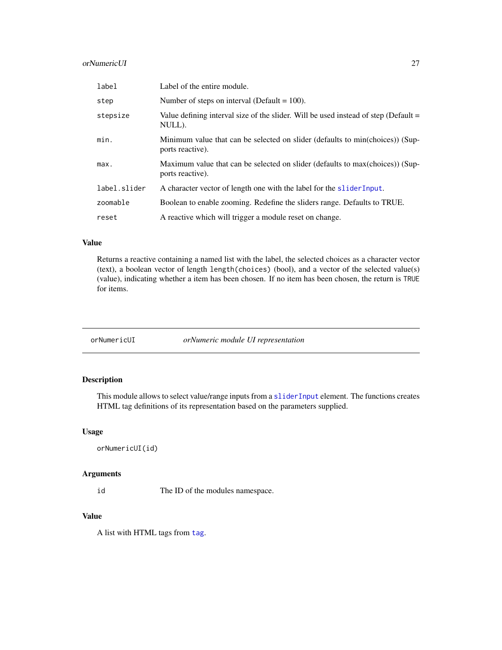# <span id="page-26-0"></span>orNumericUI 27

| label        | Label of the entire module.                                                                       |
|--------------|---------------------------------------------------------------------------------------------------|
| step         | Number of steps on interval (Default = $100$ ).                                                   |
| stepsize     | Value defining interval size of the slider. Will be used instead of step (Default $=$<br>NULL).   |
| min.         | Minimum value that can be selected on slider (defaults to min(choices)) (Sup-<br>ports reactive). |
| max.         | Maximum value that can be selected on slider (defaults to max(choices)) (Sup-<br>ports reactive). |
| label.slider | A character vector of length one with the label for the slider Input.                             |
| zoomable     | Boolean to enable zooming. Redefine the sliders range. Defaults to TRUE.                          |
| reset        | A reactive which will trigger a module reset on change.                                           |

#### Value

Returns a reactive containing a named list with the label, the selected choices as a character vector (text), a boolean vector of length length(choices) (bool), and a vector of the selected value(s) (value), indicating whether a item has been chosen. If no item has been chosen, the return is TRUE for items.

orNumericUI *orNumeric module UI representation*

#### Description

This module allows to select value/range inputs from a [sliderInput](#page-0-0) element. The functions creates HTML tag definitions of its representation based on the parameters supplied.

# Usage

orNumericUI(id)

# Arguments

id The ID of the modules namespace.

# Value

A list with HTML tags from [tag](#page-0-0).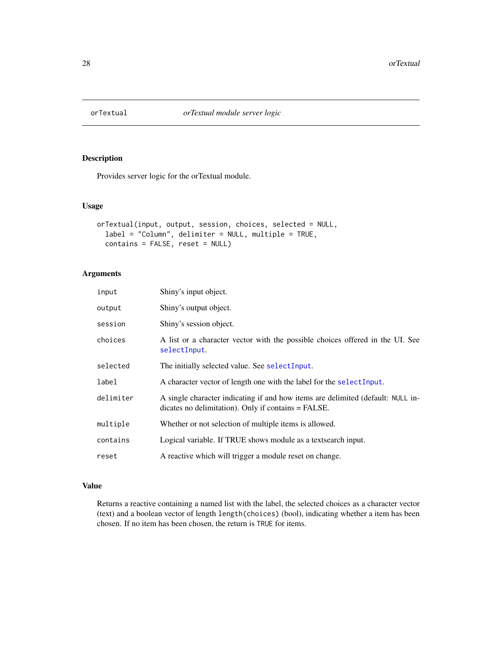<span id="page-27-0"></span>

Provides server logic for the orTextual module.

#### Usage

```
orTextual(input, output, session, choices, selected = NULL,
  label = "Column", delimiter = NULL, multiple = TRUE,
 contains = FALSE, reset = NULL)
```
# Arguments

| Shiny's input object.                                                                                                                  |
|----------------------------------------------------------------------------------------------------------------------------------------|
| Shiny's output object.                                                                                                                 |
| Shiny's session object.                                                                                                                |
| A list or a character vector with the possible choices offered in the UI. See<br>selectInput.                                          |
| The initially selected value. See selectInput.                                                                                         |
| A character vector of length one with the label for the select Input.                                                                  |
| A single character indicating if and how items are delimited (default: NULL in-<br>dicates no delimitation). Only if contains = FALSE. |
| Whether or not selection of multiple items is allowed.                                                                                 |
| Logical variable. If TRUE shows module as a textsearch input.                                                                          |
| A reactive which will trigger a module reset on change.                                                                                |
|                                                                                                                                        |

# Value

Returns a reactive containing a named list with the label, the selected choices as a character vector (text) and a boolean vector of length length(choices) (bool), indicating whether a item has been chosen. If no item has been chosen, the return is TRUE for items.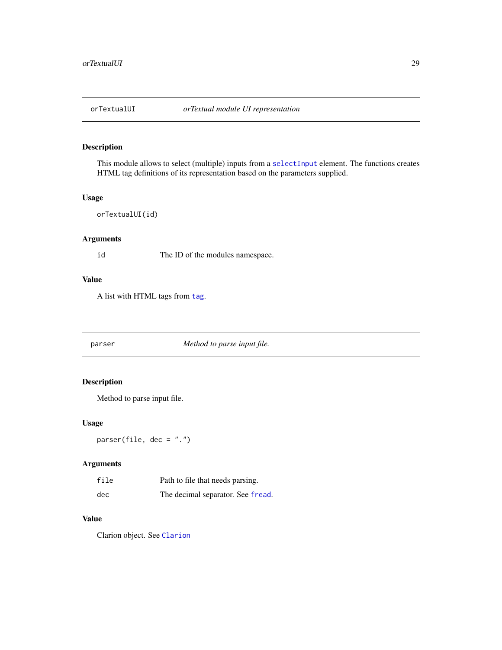<span id="page-28-0"></span>

This module allows to select (multiple) inputs from a [selectInput](#page-0-0) element. The functions creates HTML tag definitions of its representation based on the parameters supplied.

# Usage

```
orTextualUI(id)
```
# Arguments

id The ID of the modules namespace.

# Value

A list with HTML tags from [tag](#page-0-0).

parser *Method to parse input file.*

# Description

Method to parse input file.

# Usage

 $parser(file, dec = "."')$ 

# Arguments

| file | Path to file that needs parsing.  |
|------|-----------------------------------|
| dec  | The decimal separator. See fread. |

# Value

Clarion object. See [Clarion](#page-4-1)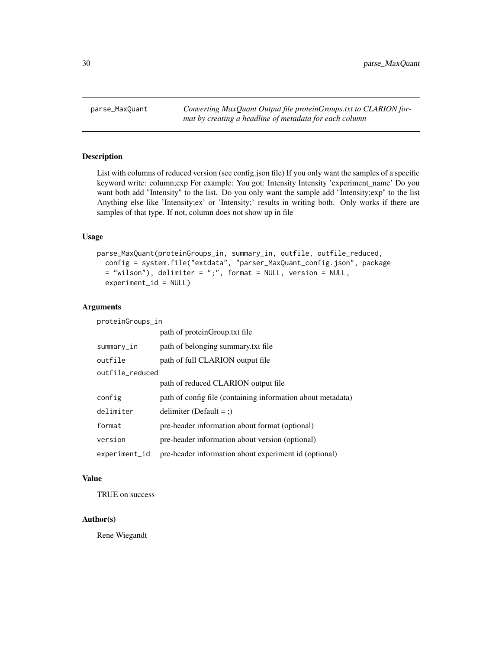<span id="page-29-0"></span>parse\_MaxQuant *Converting MaxQuant Output file proteinGroups.txt to CLARION format by creating a headline of metadata for each column*

#### Description

List with columns of reduced version (see config.json file) If you only want the samples of a specific keyword write: column;exp For example: You got: Intensity Intensity 'experiment\_name' Do you want both add "Intensity" to the list. Do you only want the sample add "Intensity;exp" to the list Anything else like 'Intensity;ex' or 'Intensity;' results in writing both. Only works if there are samples of that type. If not, column does not show up in file

#### Usage

```
parse_MaxQuant(proteinGroups_in, summary_in, outfile, outfile_reduced,
  config = system.file("extdata", "parser_MaxQuant_config.json", package
 = "wilson"), delimiter = ";", format = NULL, version = NULL,
  experiment_id = NULL)
```
#### Arguments

| proteinGroups_in |                                                             |  |
|------------------|-------------------------------------------------------------|--|
|                  | path of protein Group txt file                              |  |
| summary_in       | path of belonging summary txt file                          |  |
| outfile          | path of full CLARION output file                            |  |
| outfile reduced  |                                                             |  |
|                  | path of reduced CLARION output file                         |  |
| config           | path of config file (containing information about metadata) |  |
| delimiter        | delimiter (Default = $:$ )                                  |  |
| format           | pre-header information about format (optional)              |  |
| version          | pre-header information about version (optional)             |  |
| experiment_id    | pre-header information about experiment id (optional)       |  |

#### Value

TRUE on success

#### Author(s)

Rene Wiegandt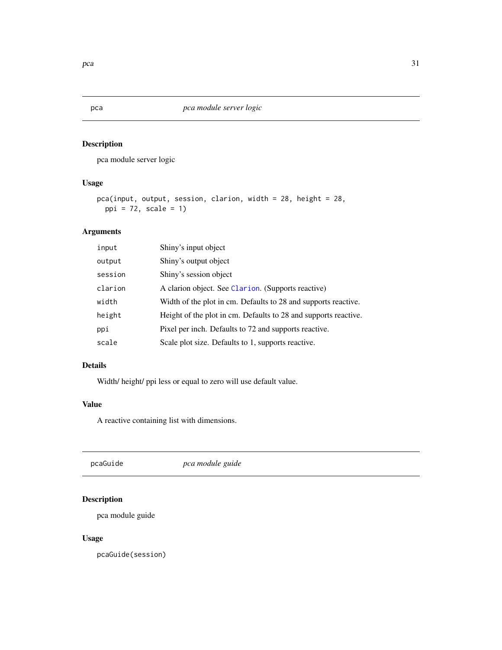pca module server logic

# Usage

```
pca(input, output, session, clarion, width = 28, height = 28,
 ppi = 72, scale = 1)
```
# Arguments

| input   | Shiny's input object                                            |
|---------|-----------------------------------------------------------------|
| output  | Shiny's output object                                           |
| session | Shiny's session object                                          |
| clarion | A clarion object. See Clarion. (Supports reactive)              |
| width   | Width of the plot in cm. Defaults to 28 and supports reactive.  |
| height  | Height of the plot in cm. Defaults to 28 and supports reactive. |
| ppi     | Pixel per inch. Defaults to 72 and supports reactive.           |
| scale   | Scale plot size. Defaults to 1, supports reactive.              |

# Details

Width/ height/ ppi less or equal to zero will use default value.

# Value

A reactive containing list with dimensions.

|--|

# Description

pca module guide

# Usage

pcaGuide(session)

<span id="page-30-0"></span>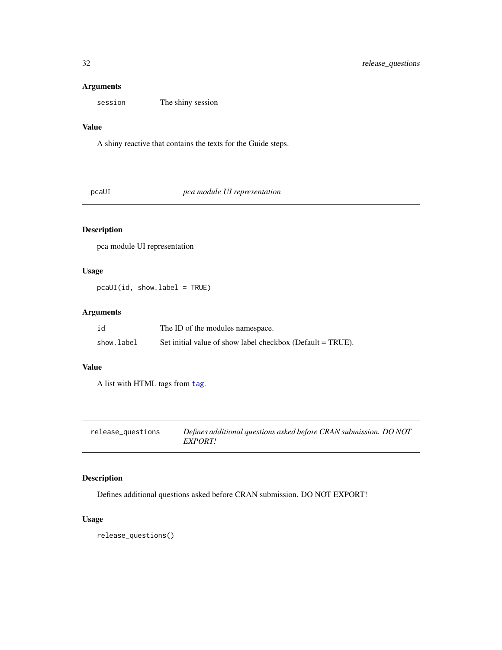#### <span id="page-31-0"></span>Arguments

session The shiny session

# Value

A shiny reactive that contains the texts for the Guide steps.

pcaUI *pca module UI representation*

# Description

pca module UI representation

# Usage

pcaUI(id, show.label = TRUE)

# Arguments

| id         | The ID of the modules namespace.                           |
|------------|------------------------------------------------------------|
| show.label | Set initial value of show label checkbox (Default = TRUE). |

# Value

A list with HTML tags from [tag](#page-0-0).

| release_questions | Defines additional questions asked before CRAN submission. DO NOT |
|-------------------|-------------------------------------------------------------------|
|                   | EXPORT!                                                           |

# Description

Defines additional questions asked before CRAN submission. DO NOT EXPORT!

# Usage

release\_questions()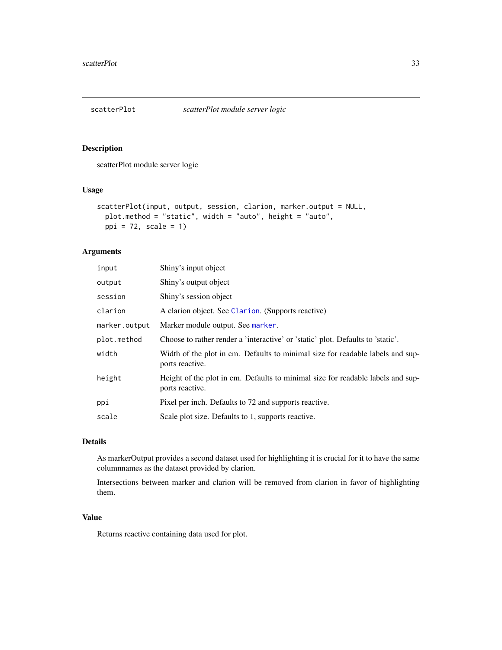<span id="page-32-0"></span>

scatterPlot module server logic

### Usage

```
scatterPlot(input, output, session, clarion, marker.output = NULL,
 plot.method = "static", width = "auto", height = "auto",
 ppi = 72, scale = 1)
```
# Arguments

| input         | Shiny's input object                                                                               |
|---------------|----------------------------------------------------------------------------------------------------|
| output        | Shiny's output object                                                                              |
| session       | Shiny's session object                                                                             |
| clarion       | A clarion object. See Clarion. (Supports reactive)                                                 |
| marker.output | Marker module output. See marker.                                                                  |
| plot.method   | Choose to rather render a 'interactive' or 'static' plot. Defaults to 'static'.                    |
| width         | Width of the plot in cm. Defaults to minimal size for readable labels and sup-<br>ports reactive.  |
| height        | Height of the plot in cm. Defaults to minimal size for readable labels and sup-<br>ports reactive. |
| ppi           | Pixel per inch. Defaults to 72 and supports reactive.                                              |
| scale         | Scale plot size. Defaults to 1, supports reactive.                                                 |

#### Details

As markerOutput provides a second dataset used for highlighting it is crucial for it to have the same columnnames as the dataset provided by clarion.

Intersections between marker and clarion will be removed from clarion in favor of highlighting them.

#### Value

Returns reactive containing data used for plot.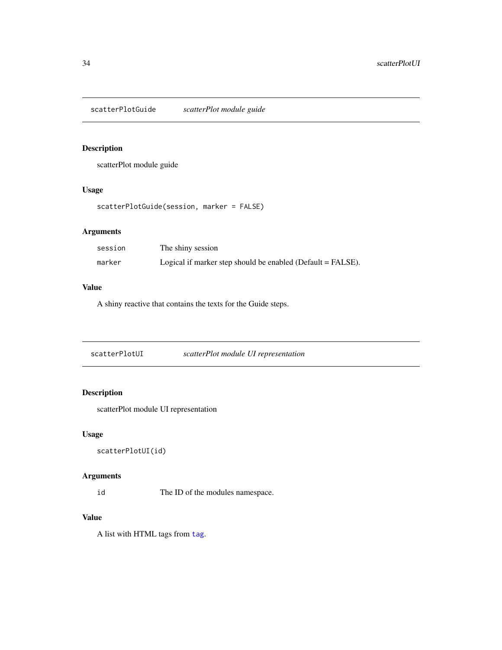<span id="page-33-0"></span>scatterPlotGuide *scatterPlot module guide*

# Description

scatterPlot module guide

### Usage

scatterPlotGuide(session, marker = FALSE)

# Arguments

| session | The shiny session                                           |
|---------|-------------------------------------------------------------|
| marker  | Logical if marker step should be enabled (Default = FALSE). |

# Value

A shiny reactive that contains the texts for the Guide steps.

scatterPlotUI *scatterPlot module UI representation*

# Description

scatterPlot module UI representation

#### Usage

```
scatterPlotUI(id)
```
# Arguments

id The ID of the modules namespace.

# Value

A list with HTML tags from [tag](#page-0-0).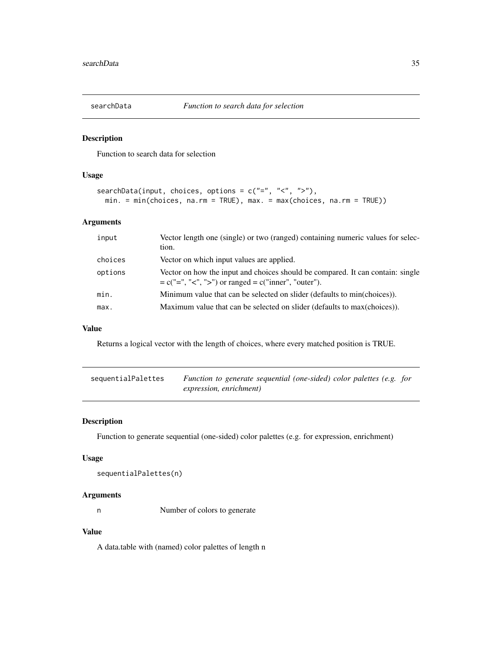<span id="page-34-0"></span>

Function to search data for selection

# Usage

```
searchData(input, choices, options = c("=", "<", ">"),
 min. = min(choices, na.rm = TRUE), max. = max(choices, na.rm = TRUE))
```
# Arguments

| input   | Vector length one (single) or two (ranged) containing numeric values for selec-<br>tion.                                                  |
|---------|-------------------------------------------------------------------------------------------------------------------------------------------|
| choices | Vector on which input values are applied.                                                                                                 |
| options | Vector on how the input and choices should be compared. It can contain: single<br>$= c("=", "<", ">")$ or ranged $= c("inner", "outer").$ |
| min.    | Minimum value that can be selected on slider (defaults to min(choices)).                                                                  |
| max.    | Maximum value that can be selected on slider (defaults to max(choices)).                                                                  |

#### Value

Returns a logical vector with the length of choices, where every matched position is TRUE.

| sequentialPalettes | Function to generate sequential (one-sided) color palettes (e.g. for |
|--------------------|----------------------------------------------------------------------|
|                    | expression, enrichment)                                              |

# Description

Function to generate sequential (one-sided) color palettes (e.g. for expression, enrichment)

# Usage

```
sequentialPalettes(n)
```
#### Arguments

n Number of colors to generate

# Value

A data.table with (named) color palettes of length n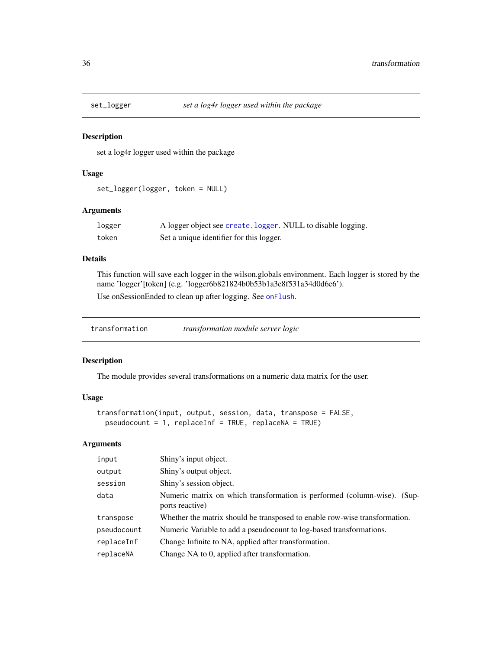<span id="page-35-0"></span>

set a log4r logger used within the package

#### Usage

```
set_logger(logger, token = NULL)
```
#### Arguments

| logger | A logger object see create. logger. NULL to disable logging. |
|--------|--------------------------------------------------------------|
| token  | Set a unique identifier for this logger.                     |

# Details

This function will save each logger in the wilson.globals environment. Each logger is stored by the name 'logger'[token] (e.g. 'logger6b821824b0b53b1a3e8f531a34d0d6e6').

Use onSessionEnded to clean up after logging. See [onFlush](#page-0-0).

transformation *transformation module server logic*

#### Description

The module provides several transformations on a numeric data matrix for the user.

# Usage

```
transformation(input, output, session, data, transpose = FALSE,
 pseudocount = 1, replaceInf = TRUE, replaceNA = TRUE)
```
#### Arguments

| Shiny's input object.                                                                       |
|---------------------------------------------------------------------------------------------|
| Shiny's output object.                                                                      |
| Shiny's session object.                                                                     |
| Numeric matrix on which transformation is performed (column-wise). (Sup-<br>ports reactive) |
| Whether the matrix should be transposed to enable row-wise transformation.                  |
| Numeric Variable to add a pseudocount to log-based transformations.                         |
| Change Infinite to NA, applied after transformation.                                        |
| Change NA to 0, applied after transformation.                                               |
|                                                                                             |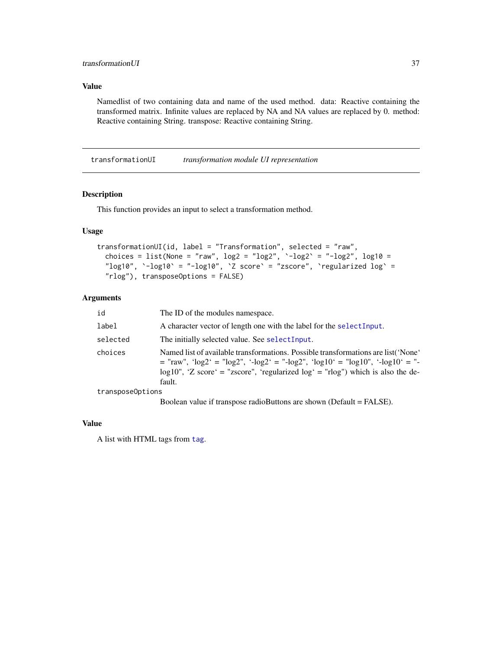# <span id="page-36-0"></span>Value

Namedlist of two containing data and name of the used method. data: Reactive containing the transformed matrix. Infinite values are replaced by NA and NA values are replaced by 0. method: Reactive containing String. transpose: Reactive containing String.

transformationUI *transformation module UI representation*

# Description

This function provides an input to select a transformation method.

# Usage

```
transformationUI(id, label = "Transformation", selected = "raw",
  choices = list(None = "raw", log2 = "log2", \text{·-log2} = "-log2", log10 =
  "log10", \text{log}10" = "-log10", \text{2 score} = "zscore", \text{log} regularized log' =
  "rlog"), transposeOptions = FALSE)
```
# Arguments

| id               | The ID of the modules namespace.                                                                                                                                                                                                                                        |
|------------------|-------------------------------------------------------------------------------------------------------------------------------------------------------------------------------------------------------------------------------------------------------------------------|
| label            | A character vector of length one with the label for the select Input.                                                                                                                                                                                                   |
| selected         | The initially selected value. See selectInput.                                                                                                                                                                                                                          |
| choices          | Named list of available transformations. Possible transformations are list ('None'<br>$=$ "raw", 'log2' = "log2", '-log2' = "-log2", 'log10' = "log10", '-log10' = "-<br>$log10$ ", 'Z score' = "zscore", 'regularized $log'$ = "rlog") which is also the de-<br>fault. |
| transposeOptions |                                                                                                                                                                                                                                                                         |
|                  | Boolean value if transpose radio Buttons are shown $(Daf)$ $t = EAI$ $RE$                                                                                                                                                                                               |

Boolean value if transpose radioButtons are shown (Default = FALSE).

#### Value

A list with HTML tags from [tag](#page-0-0).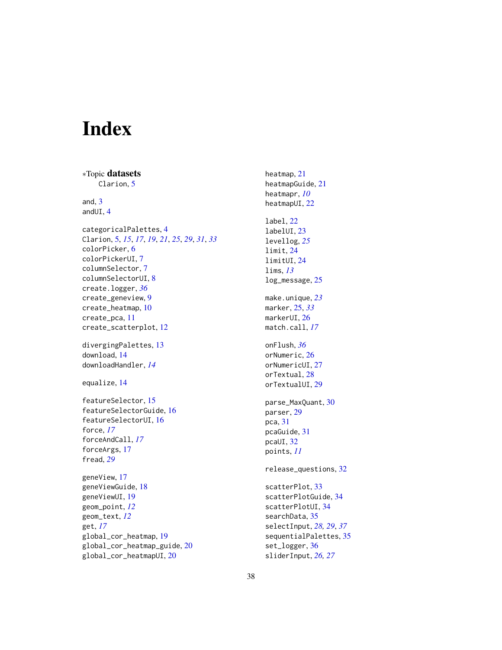# <span id="page-37-0"></span>Index

∗Topic datasets Clarion, [5](#page-4-0) and, [3](#page-2-0) andUI, [4](#page-3-0) categoricalPalettes, [4](#page-3-0) Clarion, [5,](#page-4-0) *[15](#page-14-0)*, *[17](#page-16-0)*, *[19](#page-18-0)*, *[21](#page-20-0)*, *[25](#page-24-0)*, *[29](#page-28-0)*, *[31](#page-30-0)*, *[33](#page-32-0)* colorPicker, [6](#page-5-0) colorPickerUI, [7](#page-6-0) columnSelector, [7](#page-6-0) columnSelectorUI, [8](#page-7-0) create.logger, *[36](#page-35-0)* create\_geneview, [9](#page-8-0) create\_heatmap, [10](#page-9-0) create\_pca, [11](#page-10-0) create\_scatterplot, [12](#page-11-0) divergingPalettes, [13](#page-12-0) download, [14](#page-13-0) downloadHandler, *[14](#page-13-0)* equalize, [14](#page-13-0) featureSelector, [15](#page-14-0) featureSelectorGuide, [16](#page-15-0) featureSelectorUI, [16](#page-15-0) force, *[17](#page-16-0)* forceAndCall, *[17](#page-16-0)* forceArgs, [17](#page-16-0) fread, *[29](#page-28-0)* geneView, [17](#page-16-0) geneViewGuide, [18](#page-17-0) geneViewUI, [19](#page-18-0) geom\_point, *[12](#page-11-0)* geom\_text, *[12](#page-11-0)* get, *[17](#page-16-0)* global\_cor\_heatmap, [19](#page-18-0) global\_cor\_heatmap\_guide, [20](#page-19-0) global\_cor\_heatmapUI, [20](#page-19-0)

heatmap, [21](#page-20-0) heatmapGuide, [21](#page-20-0) heatmapr, *[10](#page-9-0)* heatmapUI, [22](#page-21-0) label, [22](#page-21-0) labelUI, [23](#page-22-0) levellog, *[25](#page-24-0)* limit, [24](#page-23-0) limitUI, [24](#page-23-0) lims, *[13](#page-12-0)* log\_message, [25](#page-24-0) make.unique, *[23](#page-22-0)* marker, [25,](#page-24-0) *[33](#page-32-0)* markerUI, [26](#page-25-0) match.call, *[17](#page-16-0)* onFlush, *[36](#page-35-0)* orNumeric, [26](#page-25-0) orNumericUI, [27](#page-26-0) orTextual, [28](#page-27-0) orTextualUI, [29](#page-28-0) parse\_MaxQuant, [30](#page-29-0) parser, [29](#page-28-0) pca, [31](#page-30-0) pcaGuide, [31](#page-30-0) pcaUI, [32](#page-31-0) points, *[11](#page-10-0)* release\_questions, [32](#page-31-0) scatterPlot, [33](#page-32-0) scatterPlotGuide, [34](#page-33-0) scatterPlotUI, [34](#page-33-0) searchData, [35](#page-34-0) selectInput, *[28,](#page-27-0) [29](#page-28-0)*, *[37](#page-36-0)* sequentialPalettes, [35](#page-34-0) set\_logger, [36](#page-35-0) sliderInput, *[26,](#page-25-0) [27](#page-26-0)*